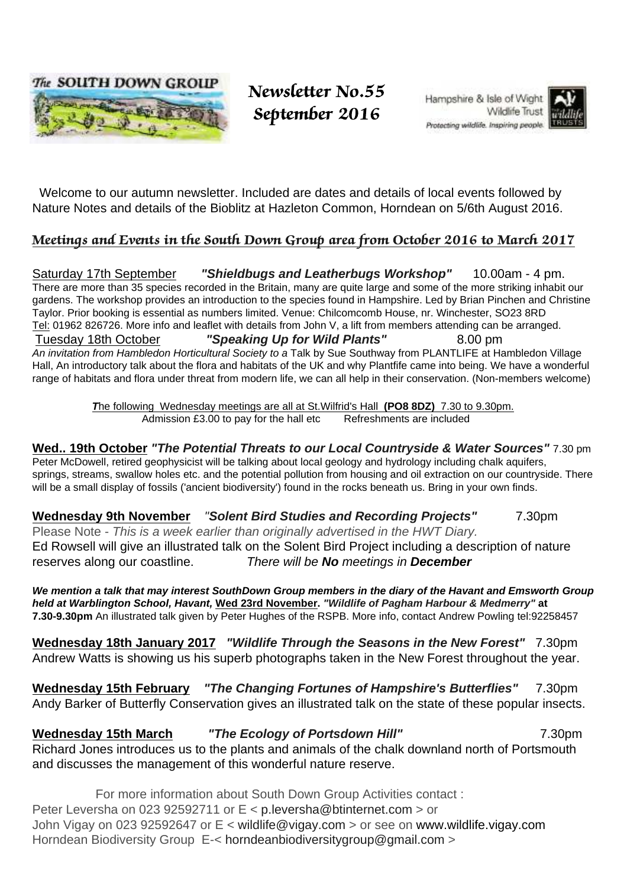

 Newsletter No.55 September 2016

Hampshire & Isle of Wight **Wildlife Trust** Protecting wildlife, Inspiring people.



 Welcome to our autumn newsletter. Included are dates and details of local events followed by Nature Notes and details of the Bioblitz at Hazleton Common, Horndean on 5/6th August 2016.

## Meetings and Events in the South Down Group area from October 2016 to March 2017

Saturday 17th September **"Shieldbugs and Leatherbugs Workshop"** 10.00am - 4 pm. There are more than 35 species recorded in the Britain, many are quite large and some of the more striking inhabit our gardens. The workshop provides an introduction to the species found in Hampshire. Led by Brian Pinchen and Christine Taylor. Prior booking is essential as numbers limited. Venue: Chilcomcomb House, nr. Winchester, SO23 8RD Tel: 01962 826726. More info and leaflet with details from John V, a lift from members attending can be arranged. Tuesday 18th October **"Speaking Up for Wild Plants"** 8.00 pm An invitation from Hambledon Horticultural Society to a Talk by Sue Southway from PLANTLIFE at Hambledon Village Hall, An introductory talk about the flora and habitats of the UK and why Plantfife came into being. We have a wonderful range of habitats and flora under threat from modern life, we can all help in their conservation. (Non-members welcome)

> **T**he following Wednesday meetings are all at St.Wilfrid's Hall **(PO8 8DZ)** 7.30 to 9.30pm. Admission £3.00 to pay for the hall etc Refreshments are included

## **Wed.. 19th October "The Potential Threats to our Local Countryside & Water Sources"** 7.30 pm

Peter McDowell, retired geophysicist will be talking about local geology and hydrology including chalk aquifers, springs, streams, swallow holes etc. and the potential pollution from housing and oil extraction on our countryside. There will be a small display of fossils ('ancient biodiversity') found in the rocks beneath us. Bring in your own finds.

## **Wednesday 9th November** "**Solent Bird Studies and Recording Projects"** 7.30pm

Please Note - This is a week earlier than originally advertised in the HWT Diary. Ed Rowsell will give an illustrated talk on the Solent Bird Project including a description of nature reserves along our coastline. There will be **No** meetings in **December**

**We mention a talk that may interest SouthDown Group members in the diary of the Havant and Emsworth Group held at Warblington School, Havant, Wed 23rd November. "Wildlife of Pagham Harbour & Medmerry" at 7.30-9.30pm** An illustrated talk given by Peter Hughes of the RSPB. More info, contact Andrew Powling tel:92258457

**Wednesday 18th January 2017 "Wildlife Through the Seasons in the New Forest"** 7.30pm Andrew Watts is showing us his superb photographs taken in the New Forest throughout the year.

**Wednesday 15th February "The Changing Fortunes of Hampshire's Butterflies"** 7.30pm Andy Barker of Butterfly Conservation gives an illustrated talk on the state of these popular insects.

**Wednesday 15th March "The Ecology of Portsdown Hill"** 7.30pm Richard Jones introduces us to the plants and animals of the chalk downland north of Portsmouth and discusses the management of this wonderful nature reserve.

For more information about South Down Group Activities contact : Peter Leversha on 023 92592711 or E < p.leversha@btinternet.com > or John Vigay on 023 92592647 or E < wildlife@vigay.com > or see on www.wildlife.vigay.com Horndean Biodiversity Group E-< horndeanbiodiversitygroup@gmail.com >